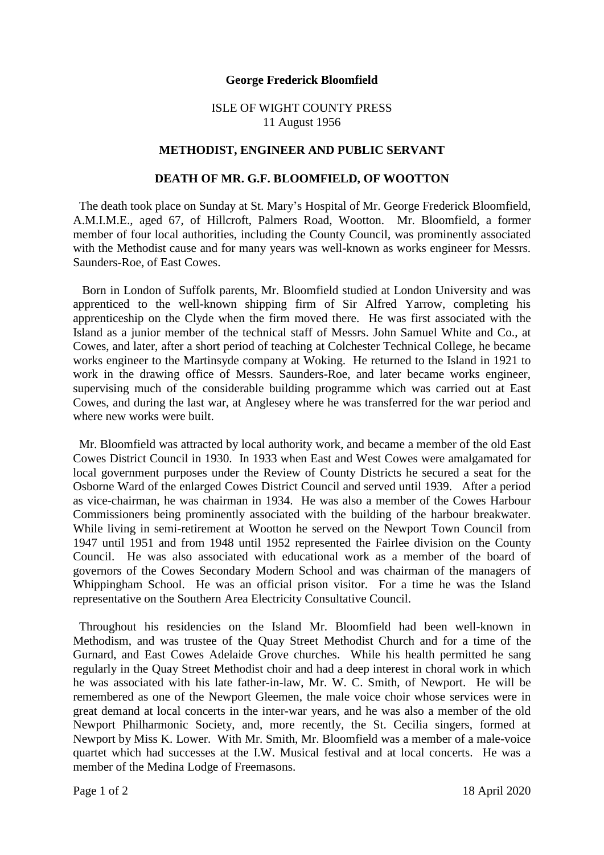## **George Frederick Bloomfield**

## ISLE OF WIGHT COUNTY PRESS 11 August 1956

## **METHODIST, ENGINEER AND PUBLIC SERVANT**

## **DEATH OF MR. G.F. BLOOMFIELD, OF WOOTTON**

The death took place on Sunday at St. Mary's Hospital of Mr. George Frederick Bloomfield, A.M.I.M.E., aged 67, of Hillcroft, Palmers Road, Wootton. Mr. Bloomfield, a former member of four local authorities, including the County Council, was prominently associated with the Methodist cause and for many years was well-known as works engineer for Messrs. Saunders-Roe, of East Cowes.

 Born in London of Suffolk parents, Mr. Bloomfield studied at London University and was apprenticed to the well-known shipping firm of Sir Alfred Yarrow, completing his apprenticeship on the Clyde when the firm moved there. He was first associated with the Island as a junior member of the technical staff of Messrs. John Samuel White and Co., at Cowes, and later, after a short period of teaching at Colchester Technical College, he became works engineer to the Martinsyde company at Woking. He returned to the Island in 1921 to work in the drawing office of Messrs. Saunders-Roe, and later became works engineer, supervising much of the considerable building programme which was carried out at East Cowes, and during the last war, at Anglesey where he was transferred for the war period and where new works were built.

 Mr. Bloomfield was attracted by local authority work, and became a member of the old East Cowes District Council in 1930. In 1933 when East and West Cowes were amalgamated for local government purposes under the Review of County Districts he secured a seat for the Osborne Ward of the enlarged Cowes District Council and served until 1939. After a period as vice-chairman, he was chairman in 1934. He was also a member of the Cowes Harbour Commissioners being prominently associated with the building of the harbour breakwater. While living in semi-retirement at Wootton he served on the Newport Town Council from 1947 until 1951 and from 1948 until 1952 represented the Fairlee division on the County Council. He was also associated with educational work as a member of the board of governors of the Cowes Secondary Modern School and was chairman of the managers of Whippingham School. He was an official prison visitor. For a time he was the Island representative on the Southern Area Electricity Consultative Council.

 Throughout his residencies on the Island Mr. Bloomfield had been well-known in Methodism, and was trustee of the Quay Street Methodist Church and for a time of the Gurnard, and East Cowes Adelaide Grove churches. While his health permitted he sang regularly in the Quay Street Methodist choir and had a deep interest in choral work in which he was associated with his late father-in-law, Mr. W. C. Smith, of Newport. He will be remembered as one of the Newport Gleemen, the male voice choir whose services were in great demand at local concerts in the inter-war years, and he was also a member of the old Newport Philharmonic Society, and, more recently, the St. Cecilia singers, formed at Newport by Miss K. Lower. With Mr. Smith, Mr. Bloomfield was a member of a male-voice quartet which had successes at the I.W. Musical festival and at local concerts. He was a member of the Medina Lodge of Freemasons.